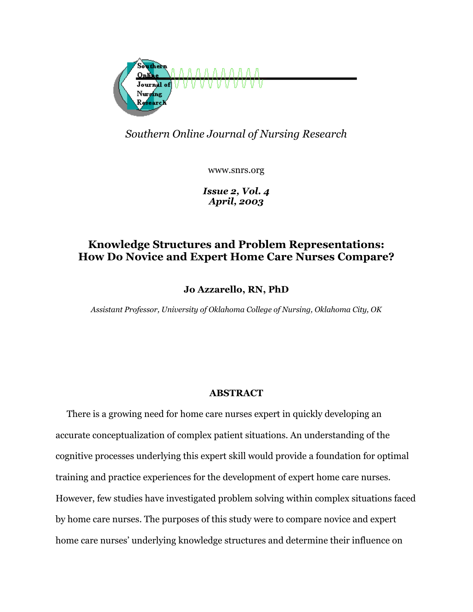

*Southern Online Journal of Nursing Research* 

www.snrs.org

*Issue 2, Vol. 4 April, 2003*

## **Knowledge Structures and Problem Representations: How Do Novice and Expert Home Care Nurses Compare?**

**Jo Azzarello, RN, PhD** 

*Assistant Professor, University of Oklahoma College of Nursing, Oklahoma City, OK* 

### **ABSTRACT**

 There is a growing need for home care nurses expert in quickly developing an accurate conceptualization of complex patient situations. An understanding of the cognitive processes underlying this expert skill would provide a foundation for optimal training and practice experiences for the development of expert home care nurses. However, few studies have investigated problem solving within complex situations faced by home care nurses. The purposes of this study were to compare novice and expert home care nurses' underlying knowledge structures and determine their influence on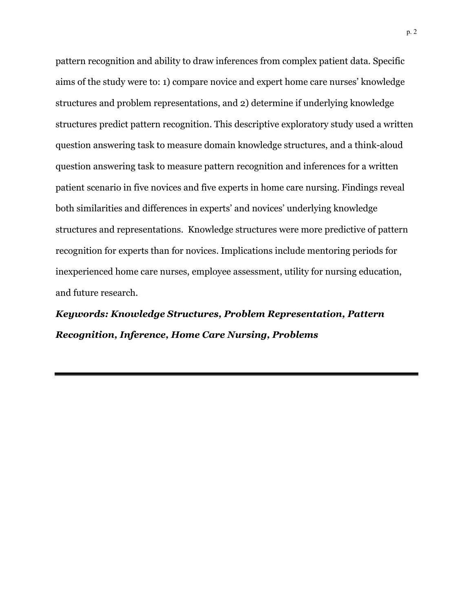pattern recognition and ability to draw inferences from complex patient data. Specific aims of the study were to: 1) compare novice and expert home care nurses' knowledge structures and problem representations, and 2) determine if underlying knowledge structures predict pattern recognition. This descriptive exploratory study used a written question answering task to measure domain knowledge structures, and a think-aloud question answering task to measure pattern recognition and inferences for a written patient scenario in five novices and five experts in home care nursing. Findings reveal both similarities and differences in experts' and novices' underlying knowledge structures and representations. Knowledge structures were more predictive of pattern recognition for experts than for novices. Implications include mentoring periods for inexperienced home care nurses, employee assessment, utility for nursing education, and future research.

*Keywords: Knowledge Structures, Problem Representation, Pattern Recognition, Inference, Home Care Nursing, Problems*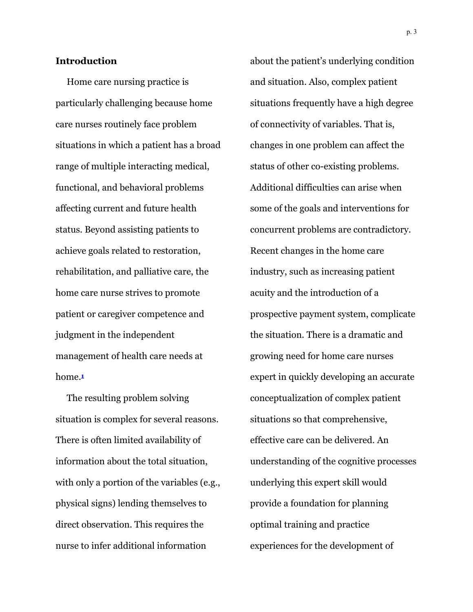#### **Introduction**

 Home care nursing practice is particularly challenging because home care nurses routinely face problem situations in which a patient has a broad range of multiple interacting medical, functional, and behavioral problems affecting current and future health status. Beyond assisting patients to achieve goals related to restoration, rehabilitation, and palliative care, the home care nurse strives to promote patient or caregiver competence and judgment in the independent management of health care needs at home.**<sup>1</sup>**

 The resulting problem solving situation is complex for several reasons. There is often limited availability of information about the total situation, with only a portion of the variables (e.g., physical signs) lending themselves to direct observation. This requires the nurse to infer additional information

about the patient's underlying condition and situation. Also, complex patient situations frequently have a high degree of connectivity of variables. That is, changes in one problem can affect the status of other co-existing problems. Additional difficulties can arise when some of the goals and interventions for concurrent problems are contradictory. Recent changes in the home care industry, such as increasing patient acuity and the introduction of a prospective payment system, complicate the situation. There is a dramatic and growing need for home care nurses expert in quickly developing an accurate conceptualization of complex patient situations so that comprehensive, effective care can be delivered. An understanding of the cognitive processes underlying this expert skill would provide a foundation for planning optimal training and practice experiences for the development of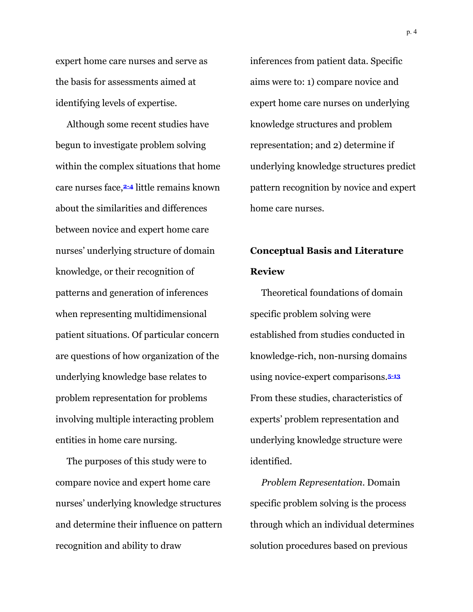expert home care nurses and serve as the basis for assessments aimed at identifying levels of expertise.

 Although some recent studies have begun to investigate problem solving within the complex situations that home care nurses face,**2-4** little remains known about the similarities and differences between novice and expert home care nurses' underlying structure of domain knowledge, or their recognition of patterns and generation of inferences when representing multidimensional patient situations. Of particular concern are questions of how organization of the underlying knowledge base relates to problem representation for problems involving multiple interacting problem entities in home care nursing.

 The purposes of this study were to compare novice and expert home care nurses' underlying knowledge structures and determine their influence on pattern recognition and ability to draw

inferences from patient data. Specific aims were to: 1) compare novice and expert home care nurses on underlying knowledge structures and problem representation; and 2) determine if underlying knowledge structures predict pattern recognition by novice and expert home care nurses.

# **Conceptual Basis and Literature Review**

 Theoretical foundations of domain specific problem solving were established from studies conducted in knowledge-rich, non-nursing domains using novice-expert comparisons.**5-13** From these studies, characteristics of experts' problem representation and underlying knowledge structure were identified.

 *Problem Representation*. Domain specific problem solving is the process through which an individual determines solution procedures based on previous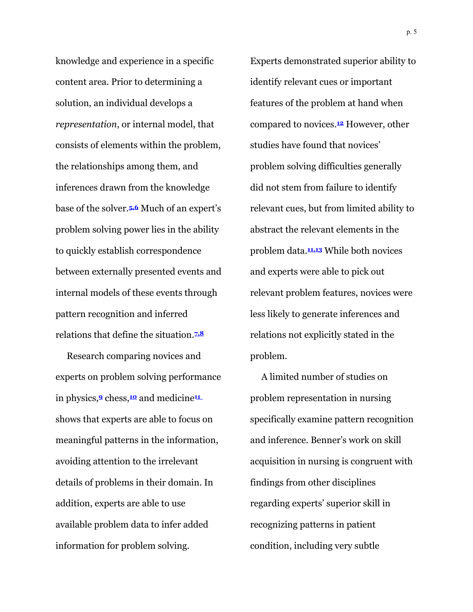knowledge and experience in a specific content area. Prior to determining a solution, an individual develops a *representation*, or internal model, that consists of elements within the problem, the relationships among them, and inferences drawn from the knowledge base of the solver.**5,6** Much of an expert's problem solving power lies in the ability to quickly establish correspondence between externally presented events and internal models of these events through pattern recognition and inferred relations that define the situation.**7,8**

 Research comparing novices and experts on problem solving performance in physics,**<sup>9</sup>** chess,**<sup>10</sup>** and medicine**<sup>11</sup>** shows that experts are able to focus on meaningful patterns in the information, avoiding attention to the irrelevant details of problems in their domain. In addition, experts are able to use available problem data to infer added information for problem solving.

Experts demonstrated superior ability to identify relevant cues or important features of the problem at hand when compared to novices.**12** However, other studies have found that novices' problem solving difficulties generally did not stem from failure to identify relevant cues, but from limited ability to abstract the relevant elements in the problem data.**11,13** While both novices and experts were able to pick out relevant problem features, novices were less likely to generate inferences and relations not explicitly stated in the problem.

 A limited number of studies on problem representation in nursing specifically examine pattern recognition and inference. Benner's work on skill acquisition in nursing is congruent with findings from other disciplines regarding experts' superior skill in recognizing patterns in patient condition, including very subtle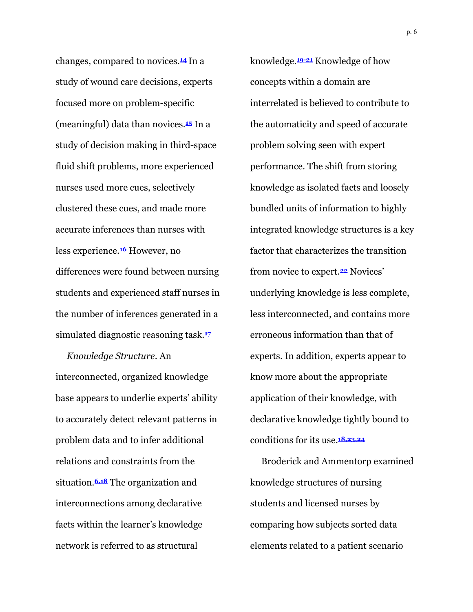changes, compared to novices.**<sup>14</sup>** In a study of wound care decisions, experts focused more on problem-specific (meaningful) data than novices.**15** In a study of decision making in third-space fluid shift problems, more experienced nurses used more cues, selectively clustered these cues, and made more accurate inferences than nurses with less experience.**16** However, no differences were found between nursing students and experienced staff nurses in the number of inferences generated in a simulated diagnostic reasoning task.**<sup>17</sup>**

 *Knowledge Structure*. An interconnected, organized knowledge base appears to underlie experts' ability to accurately detect relevant patterns in problem data and to infer additional relations and constraints from the situation.**6,18** The organization and interconnections among declarative facts within the learner's knowledge network is referred to as structural

knowledge.**19-21** Knowledge of how concepts within a domain are interrelated is believed to contribute to the automaticity and speed of accurate problem solving seen with expert performance. The shift from storing knowledge as isolated facts and loosely bundled units of information to highly integrated knowledge structures is a key factor that characterizes the transition from novice to expert.**22** Novices' underlying knowledge is less complete, less interconnected, and contains more erroneous information than that of experts. In addition, experts appear to know more about the appropriate application of their knowledge, with declarative knowledge tightly bound to conditions for its use.**18,23,24**

 Broderick and Ammentorp examined knowledge structures of nursing students and licensed nurses by comparing how subjects sorted data elements related to a patient scenario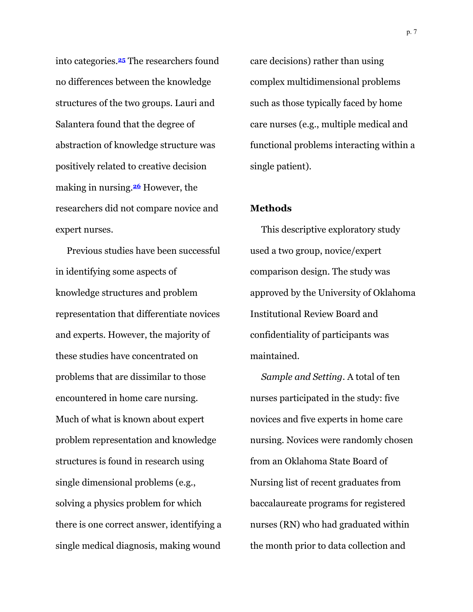into categories.**25** The researchers found no differences between the knowledge structures of the two groups. Lauri and Salantera found that the degree of abstraction of knowledge structure was positively related to creative decision making in nursing.**26** However, the researchers did not compare novice and expert nurses.

 Previous studies have been successful in identifying some aspects of knowledge structures and problem representation that differentiate novices and experts. However, the majority of these studies have concentrated on problems that are dissimilar to those encountered in home care nursing. Much of what is known about expert problem representation and knowledge structures is found in research using single dimensional problems (e.g., solving a physics problem for which there is one correct answer, identifying a single medical diagnosis, making wound

care decisions) rather than using complex multidimensional problems such as those typically faced by home care nurses (e.g., multiple medical and functional problems interacting within a single patient).

#### **Methods**

 This descriptive exploratory study used a two group, novice/expert comparison design. The study was approved by the University of Oklahoma Institutional Review Board and confidentiality of participants was maintained.

 *Sample and Setting*. A total of ten nurses participated in the study: five novices and five experts in home care nursing. Novices were randomly chosen from an Oklahoma State Board of Nursing list of recent graduates from baccalaureate programs for registered nurses (RN) who had graduated within the month prior to data collection and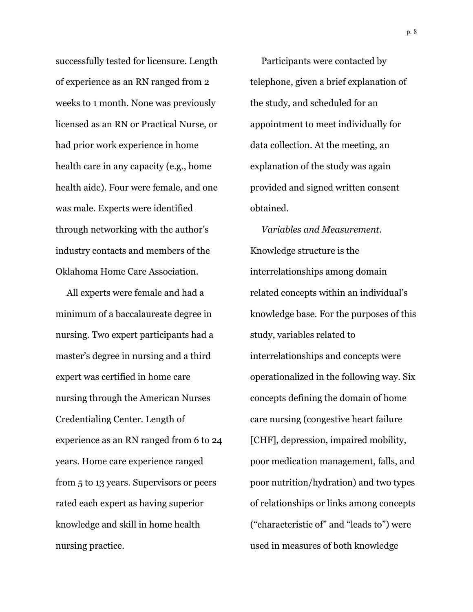successfully tested for licensure. Length of experience as an RN ranged from 2 weeks to 1 month. None was previously licensed as an RN or Practical Nurse, or had prior work experience in home health care in any capacity (e.g., home health aide). Four were female, and one was male. Experts were identified through networking with the author's industry contacts and members of the Oklahoma Home Care Association.

 All experts were female and had a minimum of a baccalaureate degree in nursing. Two expert participants had a master's degree in nursing and a third expert was certified in home care nursing through the American Nurses Credentialing Center. Length of experience as an RN ranged from 6 to 24 years. Home care experience ranged from 5 to 13 years. Supervisors or peers rated each expert as having superior knowledge and skill in home health nursing practice.

 Participants were contacted by telephone, given a brief explanation of the study, and scheduled for an appointment to meet individually for data collection. At the meeting, an explanation of the study was again provided and signed written consent obtained.

 *Variables and Measurement*. Knowledge structure is the interrelationships among domain related concepts within an individual's knowledge base. For the purposes of this study, variables related to interrelationships and concepts were operationalized in the following way. Six concepts defining the domain of home care nursing (congestive heart failure [CHF], depression, impaired mobility, poor medication management, falls, and poor nutrition/hydration) and two types of relationships or links among concepts ("characteristic of" and "leads to") were used in measures of both knowledge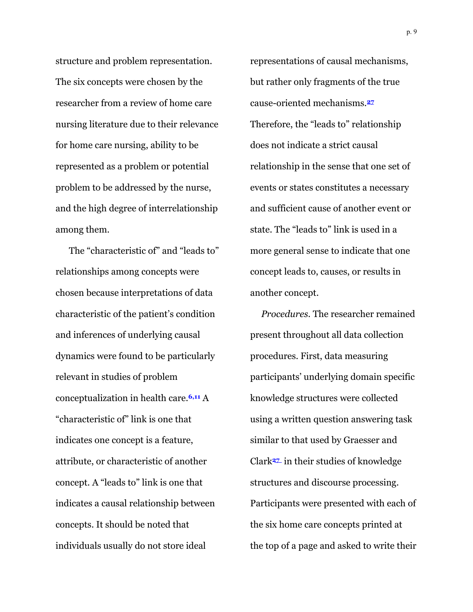structure and problem representation. The six concepts were chosen by the researcher from a review of home care nursing literature due to their relevance for home care nursing, ability to be represented as a problem or potential problem to be addressed by the nurse, and the high degree of interrelationship among them.

 The "characteristic of" and "leads to" relationships among concepts were chosen because interpretations of data characteristic of the patient's condition and inferences of underlying causal dynamics were found to be particularly relevant in studies of problem conceptualization in health care.**6,11** A "characteristic of" link is one that indicates one concept is a feature, attribute, or characteristic of another concept. A "leads to" link is one that indicates a causal relationship between concepts. It should be noted that individuals usually do not store ideal

representations of causal mechanisms, but rather only fragments of the true cause-oriented mechanisms.**<sup>27</sup>** Therefore, the "leads to" relationship does not indicate a strict causal relationship in the sense that one set of events or states constitutes a necessary and sufficient cause of another event or state. The "leads to" link is used in a more general sense to indicate that one concept leads to, causes, or results in another concept.

 *Procedures.* The researcher remained present throughout all data collection procedures. First, data measuring participants' underlying domain specific knowledge structures were collected using a written question answering task similar to that used by Graesser and Clark**<sup>27</sup>** in their studies of knowledge structures and discourse processing. Participants were presented with each of the six home care concepts printed at the top of a page and asked to write their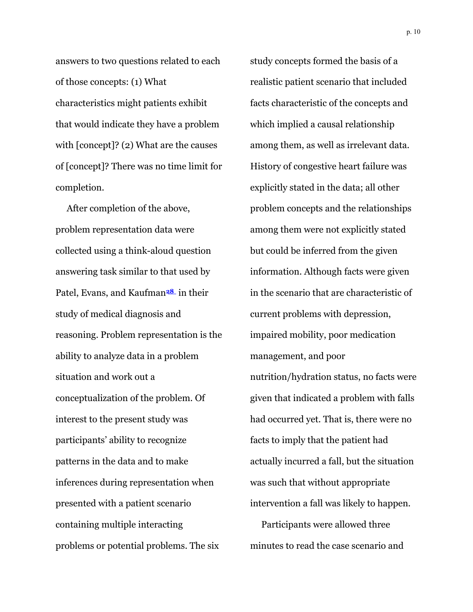answers to two questions related to each of those concepts: (1) What characteristics might patients exhibit that would indicate they have a problem with [concept]? (2) What are the causes of [concept]? There was no time limit for completion.

 After completion of the above, problem representation data were collected using a think-aloud question answering task similar to that used by Patel, Evans, and Kaufman**<sup>28</sup>** in their study of medical diagnosis and reasoning. Problem representation is the ability to analyze data in a problem situation and work out a conceptualization of the problem. Of interest to the present study was participants' ability to recognize patterns in the data and to make inferences during representation when presented with a patient scenario containing multiple interacting problems or potential problems. The six

study concepts formed the basis of a realistic patient scenario that included facts characteristic of the concepts and which implied a causal relationship among them, as well as irrelevant data. History of congestive heart failure was explicitly stated in the data; all other problem concepts and the relationships among them were not explicitly stated but could be inferred from the given information. Although facts were given in the scenario that are characteristic of current problems with depression, impaired mobility, poor medication management, and poor nutrition/hydration status, no facts were given that indicated a problem with falls had occurred yet. That is, there were no facts to imply that the patient had actually incurred a fall, but the situation was such that without appropriate intervention a fall was likely to happen.

 Participants were allowed three minutes to read the case scenario and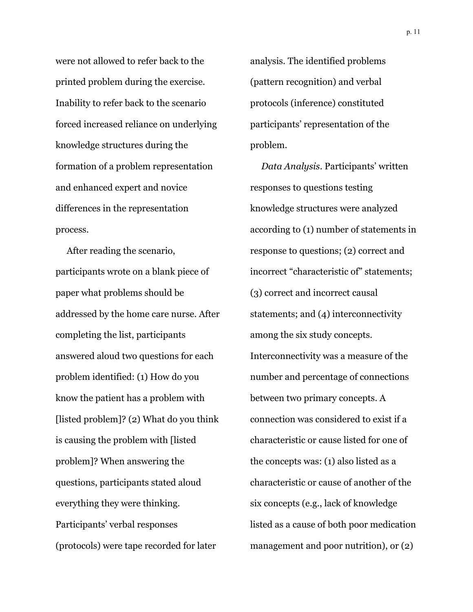were not allowed to refer back to the printed problem during the exercise. Inability to refer back to the scenario forced increased reliance on underlying knowledge structures during the formation of a problem representation and enhanced expert and novice differences in the representation process.

 After reading the scenario, participants wrote on a blank piece of paper what problems should be addressed by the home care nurse. After completing the list, participants answered aloud two questions for each problem identified: (1) How do you know the patient has a problem with [listed problem]? (2) What do you think is causing the problem with [listed problem]? When answering the questions, participants stated aloud everything they were thinking. Participants' verbal responses (protocols) were tape recorded for later

analysis. The identified problems (pattern recognition) and verbal protocols (inference) constituted participants' representation of the problem.

 *Data Analysis*. Participants' written responses to questions testing knowledge structures were analyzed according to (1) number of statements in response to questions; (2) correct and incorrect "characteristic of" statements; (3) correct and incorrect causal statements; and (4) interconnectivity among the six study concepts. Interconnectivity was a measure of the number and percentage of connections between two primary concepts. A connection was considered to exist if a characteristic or cause listed for one of the concepts was: (1) also listed as a characteristic or cause of another of the six concepts (e.g., lack of knowledge listed as a cause of both poor medication management and poor nutrition), or (2)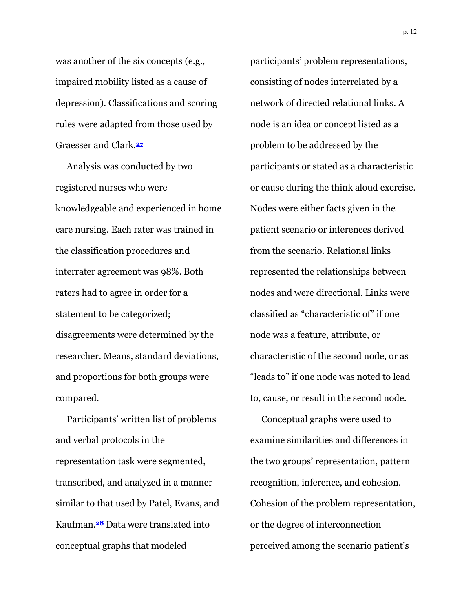was another of the six concepts (e.g., impaired mobility listed as a cause of depression). Classifications and scoring rules were adapted from those used by Graesser and Clark.**<sup>27</sup>**

 Analysis was conducted by two registered nurses who were knowledgeable and experienced in home care nursing. Each rater was trained in the classification procedures and interrater agreement was 98%. Both raters had to agree in order for a statement to be categorized; disagreements were determined by the researcher. Means, standard deviations, and proportions for both groups were compared.

 Participants' written list of problems and verbal protocols in the representation task were segmented, transcribed, and analyzed in a manner similar to that used by Patel, Evans, and Kaufman.**28** Data were translated into conceptual graphs that modeled

participants' problem representations, consisting of nodes interrelated by a network of directed relational links. A node is an idea or concept listed as a problem to be addressed by the participants or stated as a characteristic or cause during the think aloud exercise. Nodes were either facts given in the patient scenario or inferences derived from the scenario. Relational links represented the relationships between nodes and were directional. Links were classified as "characteristic of" if one node was a feature, attribute, or characteristic of the second node, or as "leads to" if one node was noted to lead to, cause, or result in the second node.

 Conceptual graphs were used to examine similarities and differences in the two groups' representation, pattern recognition, inference, and cohesion. Cohesion of the problem representation, or the degree of interconnection perceived among the scenario patient's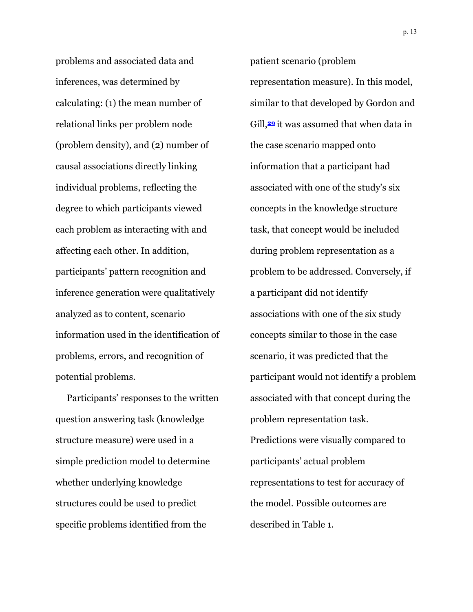problems and associated data and inferences, was determined by calculating: (1) the mean number of relational links per problem node (problem density), and (2) number of causal associations directly linking individual problems, reflecting the degree to which participants viewed each problem as interacting with and affecting each other. In addition, participants' pattern recognition and inference generation were qualitatively analyzed as to content, scenario information used in the identification of problems, errors, and recognition of potential problems.

 Participants' responses to the written question answering task (knowledge structure measure) were used in a simple prediction model to determine whether underlying knowledge structures could be used to predict specific problems identified from the

patient scenario (problem representation measure). In this model, similar to that developed by Gordon and Gill,**<sup>29</sup>** it was assumed that when data in the case scenario mapped onto information that a participant had associated with one of the study's six concepts in the knowledge structure task, that concept would be included during problem representation as a problem to be addressed. Conversely, if a participant did not identify associations with one of the six study concepts similar to those in the case scenario, it was predicted that the participant would not identify a problem associated with that concept during the problem representation task. Predictions were visually compared to participants' actual problem representations to test for accuracy of the model. Possible outcomes are described in Table 1.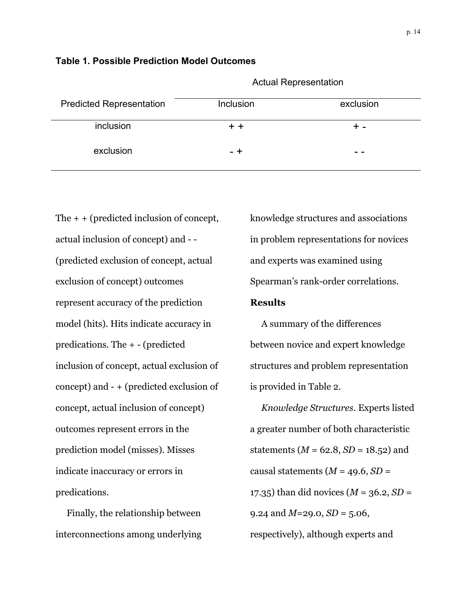|                                 |           | <b>Actual Representation</b> |
|---------------------------------|-----------|------------------------------|
| <b>Predicted Renresentation</b> | Inclusion | <b>AVOUSION</b>              |

| <b>Predicted Representation</b> | Inclusion | exclusion |
|---------------------------------|-----------|-----------|
| inclusion                       |           |           |
| exclusion                       | - +       |           |

The  $+$  + (predicted inclusion of concept, actual inclusion of concept) and - - (predicted exclusion of concept, actual exclusion of concept) outcomes represent accuracy of the prediction model (hits). Hits indicate accuracy in predications. The + - (predicted inclusion of concept, actual exclusion of concept) and - + (predicted exclusion of concept, actual inclusion of concept) outcomes represent errors in the prediction model (misses). Misses indicate inaccuracy or errors in predications.

**Table 1. Possible Prediction Model Outcomes** 

 Finally, the relationship between interconnections among underlying knowledge structures and associations in problem representations for novices and experts was examined using Spearman's rank-order correlations.

#### **Results**

 A summary of the differences between novice and expert knowledge structures and problem representation is provided in Table 2.

 *Knowledge Structures*. Experts listed a greater number of both characteristic statements ( $M = 62.8$ ,  $SD = 18.52$ ) and causal statements  $(M = 49.6, SD =$ 17.35) than did novices (*M* = 36.2, *SD* = 9.24 and  $M=29.0, SD=5.06$ , respectively), although experts and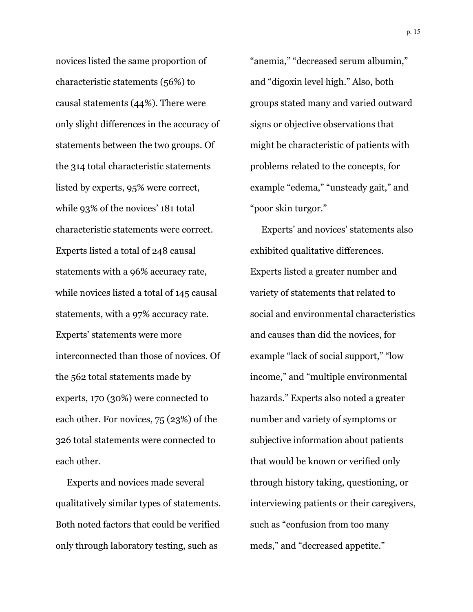novices listed the same proportion of characteristic statements (56%) to causal statements (44%). There were only slight differences in the accuracy of statements between the two groups. Of the 314 total characteristic statements listed by experts, 95% were correct, while 93% of the novices' 181 total characteristic statements were correct. Experts listed a total of 248 causal statements with a 96% accuracy rate, while novices listed a total of 145 causal statements, with a 97% accuracy rate. Experts' statements were more interconnected than those of novices. Of the 562 total statements made by experts, 170 (30%) were connected to each other. For novices, 75 (23%) of the 326 total statements were connected to each other.

 Experts and novices made several qualitatively similar types of statements. Both noted factors that could be verified only through laboratory testing, such as

"anemia," "decreased serum albumin," and "digoxin level high." Also, both groups stated many and varied outward signs or objective observations that might be characteristic of patients with problems related to the concepts, for example "edema," "unsteady gait," and "poor skin turgor."

 Experts' and novices' statements also exhibited qualitative differences. Experts listed a greater number and variety of statements that related to social and environmental characteristics and causes than did the novices, for example "lack of social support," "low income," and "multiple environmental hazards." Experts also noted a greater number and variety of symptoms or subjective information about patients that would be known or verified only through history taking, questioning, or interviewing patients or their caregivers, such as "confusion from too many meds," and "decreased appetite."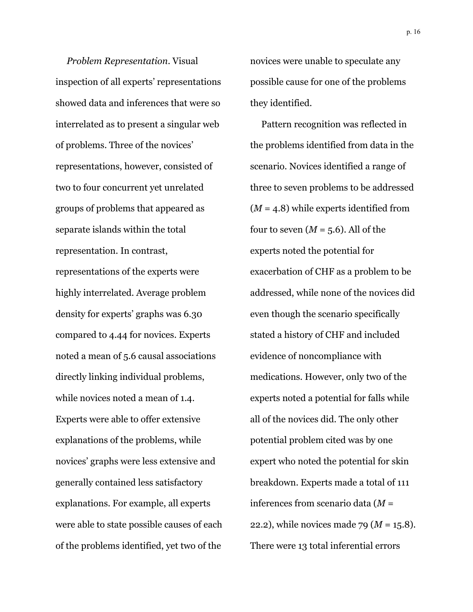*Problem Representation*. Visual inspection of all experts' representations showed data and inferences that were so interrelated as to present a singular web of problems. Three of the novices' representations, however, consisted of two to four concurrent yet unrelated groups of problems that appeared as separate islands within the total representation. In contrast, representations of the experts were highly interrelated. Average problem density for experts' graphs was 6.30 compared to 4.44 for novices. Experts noted a mean of 5.6 causal associations directly linking individual problems, while novices noted a mean of 1.4. Experts were able to offer extensive explanations of the problems, while novices' graphs were less extensive and generally contained less satisfactory explanations. For example, all experts were able to state possible causes of each of the problems identified, yet two of the

novices were unable to speculate any possible cause for one of the problems they identified.

 Pattern recognition was reflected in the problems identified from data in the scenario. Novices identified a range of three to seven problems to be addressed (*M* = 4.8) while experts identified from four to seven  $(M = 5.6)$ . All of the experts noted the potential for exacerbation of CHF as a problem to be addressed, while none of the novices did even though the scenario specifically stated a history of CHF and included evidence of noncompliance with medications. However, only two of the experts noted a potential for falls while all of the novices did. The only other potential problem cited was by one expert who noted the potential for skin breakdown. Experts made a total of 111 inferences from scenario data (*M* = 22.2), while novices made 79 (*M* = 15.8). There were 13 total inferential errors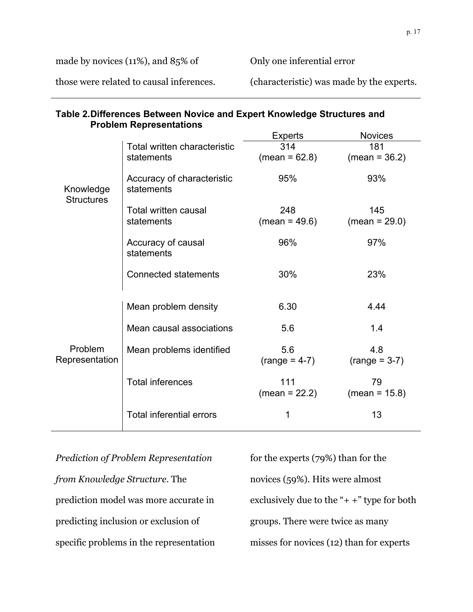made by novices (11%), and 85% of

Only one inferential error

those were related to causal inferences.

(characteristic) was made by the experts.

| <b>Problem Representations</b> |                                          |                        |                        |  |
|--------------------------------|------------------------------------------|------------------------|------------------------|--|
|                                |                                          | Experts                | <b>Novices</b>         |  |
|                                | Total written characteristic             | 314                    | 181                    |  |
|                                | statements                               | $(mean = 62.8)$        | $(mean = 36.2)$        |  |
| Knowledge<br><b>Structures</b> | Accuracy of characteristic<br>statements | 95%                    | 93%                    |  |
|                                | Total written causal<br>statements       | 248<br>$(mean = 49.6)$ | 145<br>$(mean = 29.0)$ |  |
|                                | Accuracy of causal<br>statements         | 96%                    | 97%                    |  |
|                                | <b>Connected statements</b>              | 30%                    | 23%                    |  |
|                                | Mean problem density                     | 6.30                   | 4.44                   |  |
|                                | Mean causal associations                 | 5.6                    | 1.4                    |  |
| Problem<br>Representation      | Mean problems identified                 | 5.6<br>$(range = 4-7)$ | 4.8<br>$(range = 3-7)$ |  |
|                                | <b>Total inferences</b>                  | 111<br>$(mean = 22.2)$ | 79<br>$(mean = 15.8)$  |  |
|                                | <b>Total inferential errors</b>          | 1                      | 13                     |  |

**Table 2. Differences Between Novice and Expert Knowledge Structures and Problem Representations** 

*Prediction of Problem Representation from Knowledge Structure*. The prediction model was more accurate in predicting inclusion or exclusion of specific problems in the representation for the experts (79%) than for the novices (59%). Hits were almost exclusively due to the " $+$  +" type for both groups. There were twice as many misses for novices (12) than for experts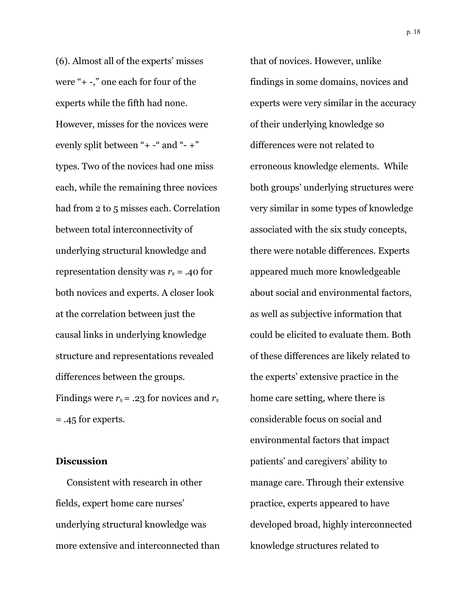(6). Almost all of the experts' misses were "+ -," one each for four of the experts while the fifth had none. However, misses for the novices were evenly split between "+ -" and "- +" types. Two of the novices had one miss each, while the remaining three novices had from 2 to 5 misses each. Correlation between total interconnectivity of underlying structural knowledge and representation density was *rs* = .40 for both novices and experts. A closer look at the correlation between just the causal links in underlying knowledge structure and representations revealed differences between the groups. Findings were *rs*= .23 for novices and *rs* = .45 for experts.

#### **Discussion**

 Consistent with research in other fields, expert home care nurses' underlying structural knowledge was more extensive and interconnected than that of novices. However, unlike findings in some domains, novices and experts were very similar in the accuracy of their underlying knowledge so differences were not related to erroneous knowledge elements. While both groups' underlying structures were very similar in some types of knowledge associated with the six study concepts, there were notable differences. Experts appeared much more knowledgeable about social and environmental factors, as well as subjective information that could be elicited to evaluate them. Both of these differences are likely related to the experts' extensive practice in the home care setting, where there is considerable focus on social and environmental factors that impact patients' and caregivers' ability to manage care. Through their extensive practice, experts appeared to have developed broad, highly interconnected knowledge structures related to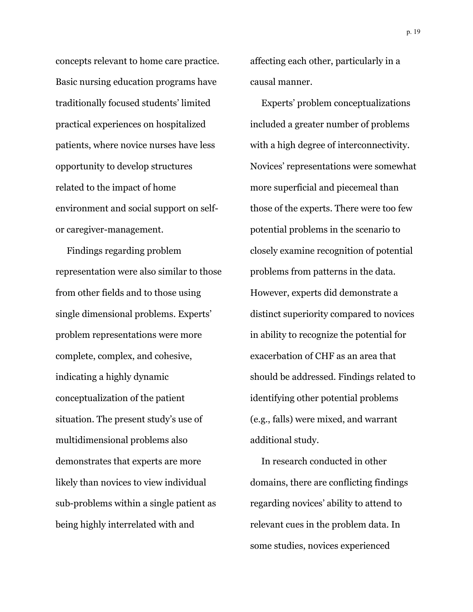concepts relevant to home care practice. Basic nursing education programs have traditionally focused students' limited practical experiences on hospitalized patients, where novice nurses have less opportunity to develop structures related to the impact of home environment and social support on selfor caregiver-management.

 Findings regarding problem representation were also similar to those from other fields and to those using single dimensional problems. Experts' problem representations were more complete, complex, and cohesive, indicating a highly dynamic conceptualization of the patient situation. The present study's use of multidimensional problems also demonstrates that experts are more likely than novices to view individual sub-problems within a single patient as being highly interrelated with and

affecting each other, particularly in a causal manner.

 Experts' problem conceptualizations included a greater number of problems with a high degree of interconnectivity. Novices' representations were somewhat more superficial and piecemeal than those of the experts. There were too few potential problems in the scenario to closely examine recognition of potential problems from patterns in the data. However, experts did demonstrate a distinct superiority compared to novices in ability to recognize the potential for exacerbation of CHF as an area that should be addressed. Findings related to identifying other potential problems (e.g., falls) were mixed, and warrant additional study.

 In research conducted in other domains, there are conflicting findings regarding novices' ability to attend to relevant cues in the problem data. In some studies, novices experienced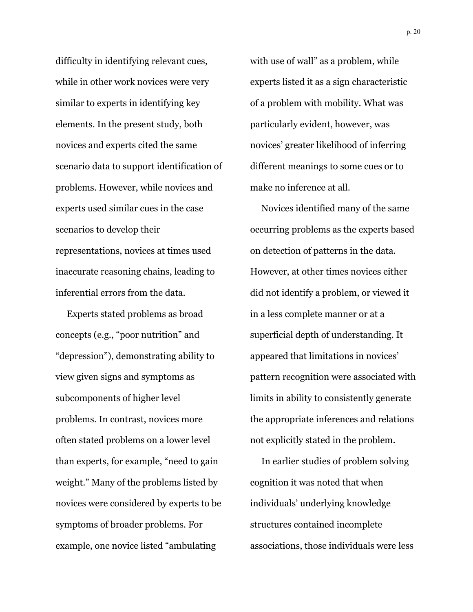difficulty in identifying relevant cues, while in other work novices were very similar to experts in identifying key elements. In the present study, both novices and experts cited the same scenario data to support identification of problems. However, while novices and experts used similar cues in the case scenarios to develop their representations, novices at times used inaccurate reasoning chains, leading to inferential errors from the data.

 Experts stated problems as broad concepts (e.g., "poor nutrition" and "depression"), demonstrating ability to view given signs and symptoms as subcomponents of higher level problems. In contrast, novices more often stated problems on a lower level than experts, for example, "need to gain weight." Many of the problems listed by novices were considered by experts to be symptoms of broader problems. For example, one novice listed "ambulating

with use of wall" as a problem, while experts listed it as a sign characteristic of a problem with mobility. What was particularly evident, however, was novices' greater likelihood of inferring different meanings to some cues or to make no inference at all.

 Novices identified many of the same occurring problems as the experts based on detection of patterns in the data. However, at other times novices either did not identify a problem, or viewed it in a less complete manner or at a superficial depth of understanding. It appeared that limitations in novices' pattern recognition were associated with limits in ability to consistently generate the appropriate inferences and relations not explicitly stated in the problem.

 In earlier studies of problem solving cognition it was noted that when individuals' underlying knowledge structures contained incomplete associations, those individuals were less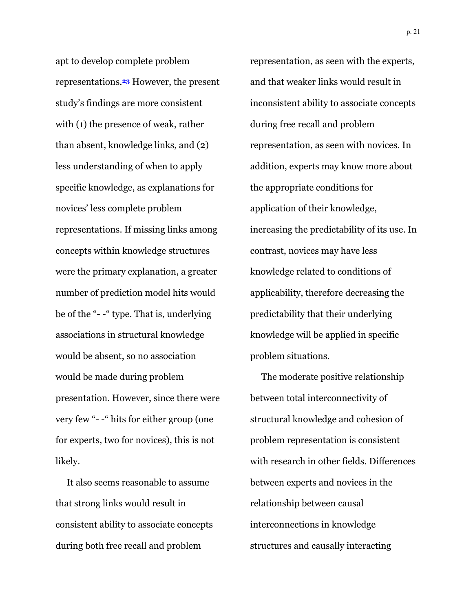apt to develop complete problem representations.**23** However, the present study's findings are more consistent with (1) the presence of weak, rather than absent, knowledge links, and (2) less understanding of when to apply specific knowledge, as explanations for novices' less complete problem representations. If missing links among concepts within knowledge structures were the primary explanation, a greater number of prediction model hits would be of the "- -" type. That is, underlying associations in structural knowledge would be absent, so no association would be made during problem presentation. However, since there were very few "- -" hits for either group (one for experts, two for novices), this is not likely.

 It also seems reasonable to assume that strong links would result in consistent ability to associate concepts during both free recall and problem

representation, as seen with the experts, and that weaker links would result in inconsistent ability to associate concepts during free recall and problem representation, as seen with novices. In addition, experts may know more about the appropriate conditions for application of their knowledge, increasing the predictability of its use. In contrast, novices may have less knowledge related to conditions of applicability, therefore decreasing the predictability that their underlying knowledge will be applied in specific problem situations.

 The moderate positive relationship between total interconnectivity of structural knowledge and cohesion of problem representation is consistent with research in other fields. Differences between experts and novices in the relationship between causal interconnections in knowledge structures and causally interacting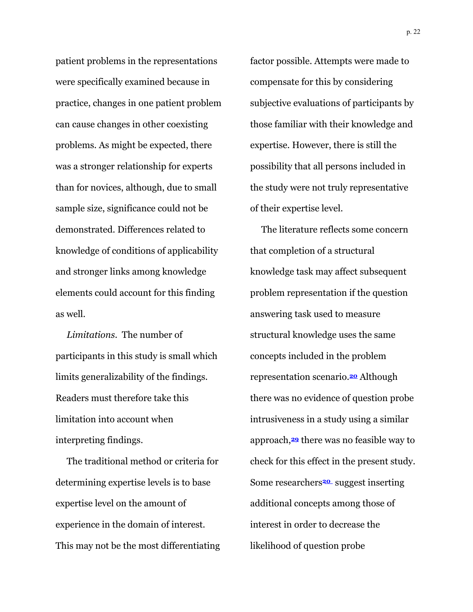patient problems in the representations were specifically examined because in practice, changes in one patient problem can cause changes in other coexisting problems. As might be expected, there was a stronger relationship for experts than for novices, although, due to small sample size, significance could not be demonstrated. Differences related to knowledge of conditions of applicability and stronger links among knowledge elements could account for this finding as well.

 *Limitations*. The number of participants in this study is small which limits generalizability of the findings. Readers must therefore take this limitation into account when interpreting findings.

 The traditional method or criteria for determining expertise levels is to base expertise level on the amount of experience in the domain of interest. This may not be the most differentiating factor possible. Attempts were made to compensate for this by considering subjective evaluations of participants by those familiar with their knowledge and expertise. However, there is still the possibility that all persons included in the study were not truly representative of their expertise level.

 The literature reflects some concern that completion of a structural knowledge task may affect subsequent problem representation if the question answering task used to measure structural knowledge uses the same concepts included in the problem representation scenario.**20** Although there was no evidence of question probe intrusiveness in a study using a similar approach,**29** there was no feasible way to check for this effect in the present study. Some researchers**<sup>20</sup>** suggest inserting additional concepts among those of interest in order to decrease the likelihood of question probe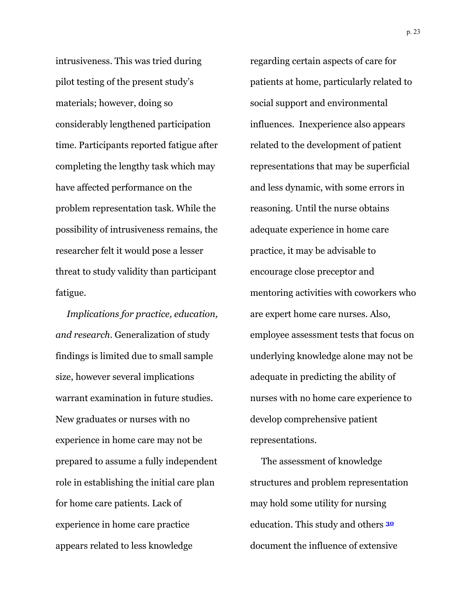intrusiveness. This was tried during pilot testing of the present study's materials; however, doing so considerably lengthened participation time. Participants reported fatigue after completing the lengthy task which may have affected performance on the problem representation task. While the possibility of intrusiveness remains, the researcher felt it would pose a lesser threat to study validity than participant fatigue.

 *Implications for practice, education, and research*. Generalization of study findings is limited due to small sample size, however several implications warrant examination in future studies. New graduates or nurses with no experience in home care may not be prepared to assume a fully independent role in establishing the initial care plan for home care patients. Lack of experience in home care practice appears related to less knowledge

regarding certain aspects of care for patients at home, particularly related to social support and environmental influences. Inexperience also appears related to the development of patient representations that may be superficial and less dynamic, with some errors in reasoning. Until the nurse obtains adequate experience in home care practice, it may be advisable to encourage close preceptor and mentoring activities with coworkers who are expert home care nurses. Also, employee assessment tests that focus on underlying knowledge alone may not be adequate in predicting the ability of nurses with no home care experience to develop comprehensive patient representations.

 The assessment of knowledge structures and problem representation may hold some utility for nursing education. This study and others **<sup>30</sup>** document the influence of extensive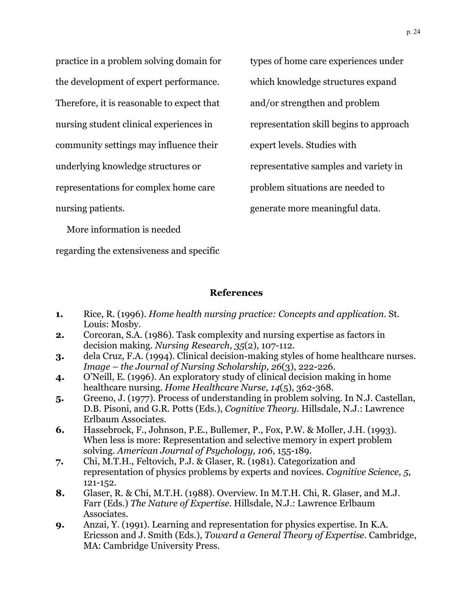practice in a problem solving domain for the development of expert performance. Therefore, it is reasonable to expect that nursing student clinical experiences in community settings may influence their underlying knowledge structures or representations for complex home care nursing patients.

types of home care experiences under which knowledge structures expand and/or strengthen and problem representation skill begins to approach expert levels. Studies with representative samples and variety in problem situations are needed to generate more meaningful data.

More information is needed

regarding the extensiveness and specific

## **References**

- **1.** Rice, R. (1996). *Home health nursing practice: Concepts and application*. St. Louis: Mosby.
- **2.** Corcoran, S.A. (1986). Task complexity and nursing expertise as factors in decision making. *Nursing Research*, *35*(2), 107-112.
- **3.** dela Cruz, F.A. (1994). Clinical decision-making styles of home healthcare nurses. *Image – the Journal of Nursing Scholarship, 26*(3), 222-226.
- **4.** O'Neill, E. (1996). An exploratory study of clinical decision making in home healthcare nursing. *Home Healthcare Nurse, 14*(5), 362-368.
- **5.** Greeno, J. (1977). Process of understanding in problem solving. In N.J. Castellan, D.B. Pisoni, and G.R. Potts (Eds.), *Cognitive Theory.* Hillsdale, N.J.: Lawrence Erlbaum Associates.
- **6.** Hassebrock, F., Johnson, P.E., Bullemer, P., Fox, P.W. & Moller, J.H. (1993). When less is more: Representation and selective memory in expert problem solving. *American Journal of Psychology, 106*, 155-189.
- **7.** Chi, M.T.H., Feltovich, P.J. & Glaser, R. (1981). Categorization and representation of physics problems by experts and novices. *Cognitive Science, 5*, 121-152.
- **8.** Glaser, R. & Chi, M.T.H. (1988). Overview. In M.T.H. Chi, R. Glaser, and M.J. Farr (Eds.) *The Nature of Expertise*. Hillsdale, N.J.: Lawrence Erlbaum Associates.
- **9.** Anzai, Y. (1991). Learning and representation for physics expertise. In K.A. Ericsson and J. Smith (Eds.), *Toward a General Theory of Expertise*. Cambridge, MA: Cambridge University Press.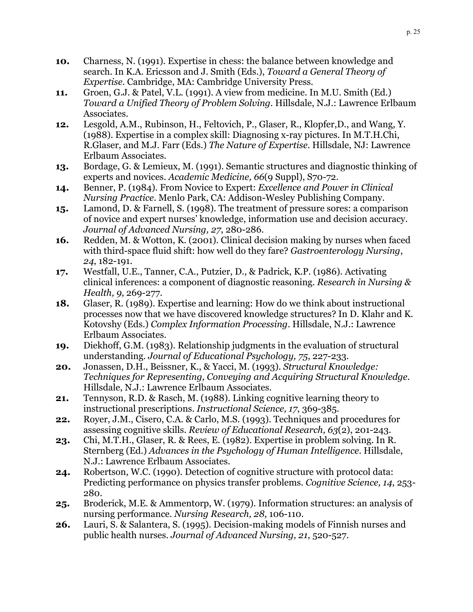- **10.** Charness, N. (1991). Expertise in chess: the balance between knowledge and search. In K.A. Ericsson and J. Smith (Eds.), *Toward a General Theory of Expertise*. Cambridge, MA: Cambridge University Press.
- **11.** Groen, G.J. & Patel, V.L. (1991). A view from medicine. In M.U. Smith (Ed.) *Toward a Unified Theory of Problem Solving*. Hillsdale, N.J.: Lawrence Erlbaum Associates.
- **12.** Lesgold, A.M., Rubinson, H., Feltovich, P., Glaser, R., Klopfer,D., and Wang, Y. (1988). Expertise in a complex skill: Diagnosing x-ray pictures. In M.T.H.Chi, R.Glaser, and M.J. Farr (Eds.) *The Nature of Expertise*. Hillsdale, NJ: Lawrence Erlbaum Associates.
- **13.** Bordage, G. & Lemieux, M. (1991). Semantic structures and diagnostic thinking of experts and novices. *Academic Medicine, 66*(9 Suppl), S70-72.
- **14.** Benner, P. (1984). From Novice to Expert: *Excellence and Power in Clinical Nursing Practice*. Menlo Park, CA: Addison-Wesley Publishing Company.
- **15.** Lamond, D. & Farnell, S. (1998). The treatment of pressure sores: a comparison of novice and expert nurses' knowledge, information use and decision accuracy. *Journal of Advanced Nursing, 27*, 280-286.
- **16.** Redden, M. & Wotton, K. (2001). Clinical decision making by nurses when faced with third-space fluid shift: how well do they fare? *Gastroenterology Nursing*, *24*, 182-191.
- **17.** Westfall, U.E., Tanner, C.A., Putzier, D., & Padrick, K.P. (1986). Activating clinical inferences: a component of diagnostic reasoning. *Research in Nursing & Health, 9*, 269-277.
- **18.** Glaser, R. (1989). Expertise and learning: How do we think about instructional processes now that we have discovered knowledge structures? In D. Klahr and K. Kotovshy (Eds.) *Complex Information Processing*. Hillsdale, N.J.: Lawrence Erlbaum Associates.
- **19.** Diekhoff, G.M. (1983). Relationship judgments in the evaluation of structural understanding. *Journal of Educational Psychology, 75*, 227-233.
- **20.** Jonassen, D.H., Beissner, K., & Yacci, M. (1993). *Structural Knowledge: Techniques for Representing, Conveying and Acquiring Structural Knowledge*. Hillsdale, N.J.: Lawrence Erlbaum Associates.
- **21.** Tennyson, R.D. & Rasch, M. (1988). Linking cognitive learning theory to instructional prescriptions. *Instructional Science, 17*, 369-385.
- **22.** Royer, J.M., Cisero, C.A. & Carlo, M.S. (1993). Techniques and procedures for assessing cognitive skills. *Review of Educational Research, 63*(2), 201-243.
- **23.** Chi, M.T.H., Glaser, R. & Rees, E. (1982). Expertise in problem solving. In R. Sternberg (Ed.) *Advances in the Psychology of Human Intelligence*. Hillsdale, N.J.: Lawrence Erlbaum Associates.
- **24.** Robertson, W.C. (1990). Detection of cognitive structure with protocol data: Predicting performance on physics transfer problems. *Cognitive Science, 14*, 253- 280.
- **25.** Broderick, M.E. & Ammentorp, W. (1979). Information structures: an analysis of nursing performance. *Nursing Research, 28*, 106-110.
- **26.** Lauri, S. & Salantera, S. (1995). Decision-making models of Finnish nurses and public health nurses. *Journal of Advanced Nursing, 21*, 520-527.